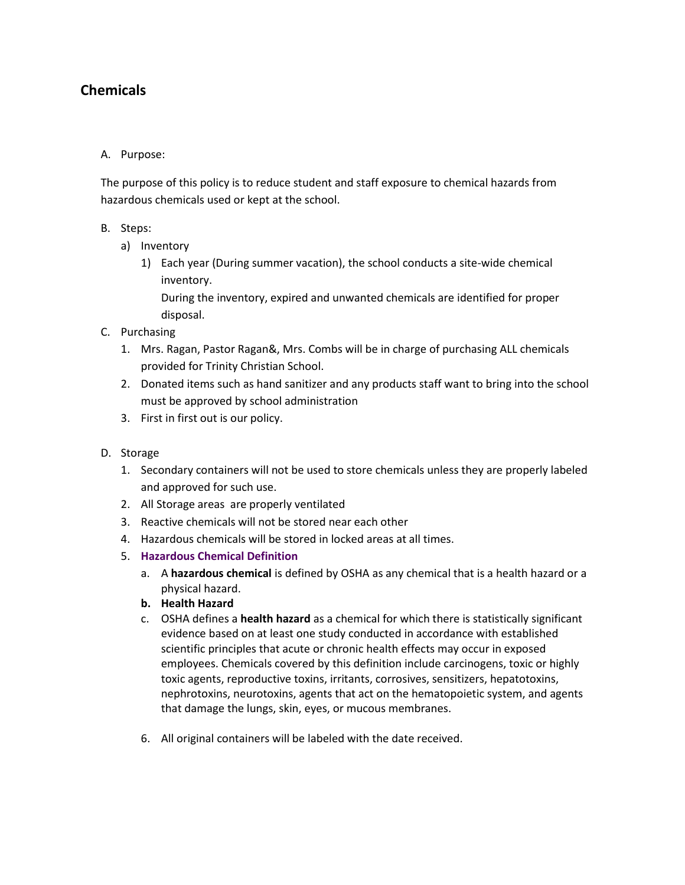# **Chemicals**

# A. Purpose:

The purpose of this policy is to reduce student and staff exposure to chemical hazards from hazardous chemicals used or kept at the school.

# B. Steps:

- a) Inventory
	- 1) Each year (During summer vacation), the school conducts a site-wide chemical inventory.

During the inventory, expired and unwanted chemicals are identified for proper disposal.

- C. Purchasing
	- 1. Mrs. Ragan, Pastor Ragan&, Mrs. Combs will be in charge of purchasing ALL chemicals provided for Trinity Christian School.
	- 2. Donated items such as hand sanitizer and any products staff want to bring into the school must be approved by school administration
	- 3. First in first out is our policy.

### D. Storage

- 1. Secondary containers will not be used to store chemicals unless they are properly labeled and approved for such use.
- 2. All Storage areas are properly ventilated
- 3. Reactive chemicals will not be stored near each other
- 4. Hazardous chemicals will be stored in locked areas at all times.
- 5. **Hazardous Chemical Definition**
	- a. A **hazardous chemical** is defined by OSHA as any chemical that is a health hazard or a physical hazard.
	- **b. Health Hazard**
	- c. OSHA defines a **health hazard** as a chemical for which there is statistically significant evidence based on at least one study conducted in accordance with established scientific principles that acute or chronic health effects may occur in exposed employees. Chemicals covered by this definition include carcinogens, toxic or highly toxic agents, reproductive toxins, irritants, corrosives, sensitizers, hepatotoxins, nephrotoxins, neurotoxins, agents that act on the hematopoietic system, and agents that damage the lungs, skin, eyes, or mucous membranes.
	- 6. All original containers will be labeled with the date received.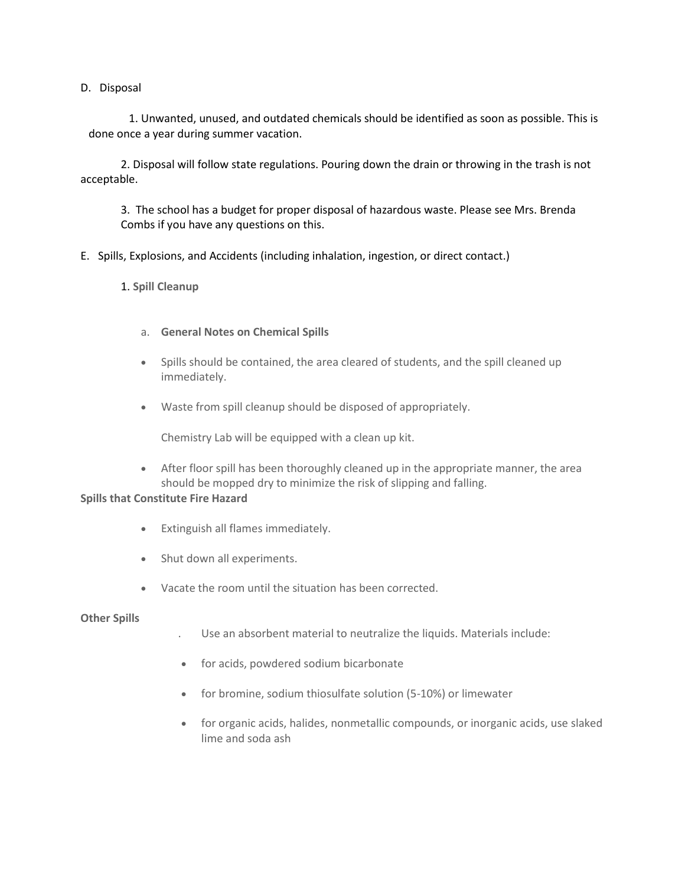#### D. Disposal

1. Unwanted, unused, and outdated chemicals should be identified as soon as possible. This is done once a year during summer vacation.

2. Disposal will follow state regulations. Pouring down the drain or throwing in the trash is not acceptable.

3. The school has a budget for proper disposal of hazardous waste. Please see Mrs. Brenda Combs if you have any questions on this.

E. Spills, Explosions, and Accidents (including inhalation, ingestion, or direct contact.)

1. **Spill Cleanup**

- a. **General Notes on Chemical Spills**
- Spills should be contained, the area cleared of students, and the spill cleaned up immediately.
- Waste from spill cleanup should be disposed of appropriately.

Chemistry Lab will be equipped with a clean up kit.

 After floor spill has been thoroughly cleaned up in the appropriate manner, the area should be mopped dry to minimize the risk of slipping and falling.

## **Spills that Constitute Fire Hazard**

- Extinguish all flames immediately.
- Shut down all experiments.
- Vacate the room until the situation has been corrected.

#### **Other Spills**

- . Use an absorbent material to neutralize the liquids. Materials include:
- for acids, powdered sodium bicarbonate
- for bromine, sodium thiosulfate solution (5-10%) or limewater
- for organic acids, halides, nonmetallic compounds, or inorganic acids, use slaked lime and soda ash